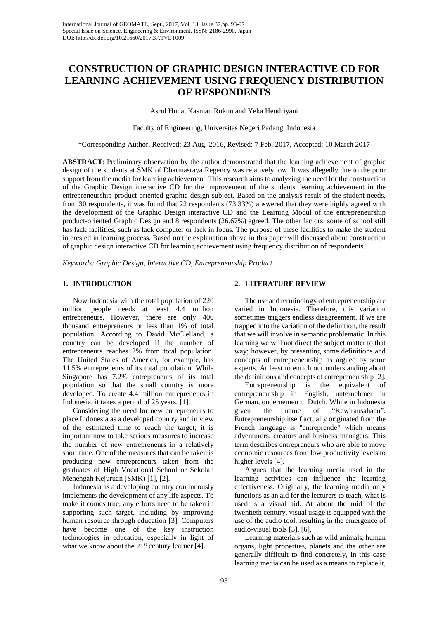# **CONSTRUCTION OF GRAPHIC DESIGN INTERACTIVE CD FOR LEARNING ACHIEVEMENT USING FREQUENCY DISTRIBUTION OF RESPONDENTS**

Asrul Huda, Kasman Rukun and Yeka Hendriyani

Faculty of Engineering, Universitas Negeri Padang, Indonesia

\*Corresponding Author, Received: 23 Aug. 2016, Revised: 7 Feb. 2017, Accepted: 10 March 2017

**ABSTRACT**: Preliminary observation by the author demonstrated that the learning achievement of graphic design of the students at SMK of Dharmasraya Regency was relatively low. It was allegedly due to the poor support from the media for learning achievement. This research aims to analyzing the need for the construction of the Graphic Design interactive CD for the improvement of the students' learning achievement in the entrepreneurship product-oriented graphic design subject. Based on the analysis result of the student needs, from 30 respondents, it was found that 22 respondents (73.33%) answered that they were highly agreed with the development of the Graphic Design interactive CD and the Learning Modul of the entrepreneurship product-oriented Graphic Design and 8 respondents (26.67%) agreed. The other factors, some of school still has lack facilities, such as lack computer or lack in focus. The purpose of these facilities to make the student interested in learning process. Based on the explanation above in this paper will discussed about construction of graphic design interactive CD for learning achievement using frequency distribution of respondents.

*Keywords: Graphic Design, Interactive CD, Entrepreneurship Product*

## **1. INTRODUCTION**

Now Indonesia with the total population of 220 million people needs at least 4.4 million entrepreneurs. However, there are only 400 thousand entrepreneurs or less than 1% of total population. According to David McClelland, a country can be developed if the number of entrepreneurs reaches 2% from total population. The United States of America, for example, has 11.5% entrepreneurs of its total population. While Singapore has 7.2% entrepreneurs of its total population so that the small country is more developed. To create 4.4 million entrepreneurs in Indonesia, it takes a period of 25 years. [1].

Considering the need for new entrepreneurs to place Indonesia as a developed country and in view of the estimated time to reach the target, it is important now to take serious measures to increase the number of new entrepreneurs in a relatively short time. One of the measures that can be taken is producing new entrepreneurs taken from the graduates of High Vocational School or Sekolah Menengah Kejuruan (SMK) [1], [2].

Indonesia as a developing country continuously implements the development of any life aspects. To make it comes true, any efforts need to be taken in supporting such target, including by improving human resource through education [3]. Computers have become one of the key instruction technologies in education, especially in light of what we know about the  $21<sup>st</sup>$  century learner [4].

## **2. LITERATURE REVIEW**

The use and terminology of entrepreneurship are varied in Indonesia. Therefore, this variation sometimes triggers endless disagreement. If we are trapped into the variation of the definition, the result that we will involve in semantic problematic. In this learning we will not direct the subject matter to that way; however, by presenting some definitions and concepts of entrepreneurship as argued by some experts. At least to enrich our understanding about the definitions and concepts of entrepreneurship [2].

Entrepreneurship is the equivalent of entrepreneurship in English, unternehmer in German, ondernemen in Dutch. While in Indonesia given the name of "Kewirausahaan". Entrepreneurship itself actually originated from the French language is "entreprende" which means adventurers, creators and business managers. This term describes entrepreneurs who are able to move economic resources from low productivity levels to higher levels [4].

Argues that the learning media used in the learning activities can influence the learning effectiveness. Originally, the learning media only functions as an aid for the lecturers to teach, what is used is a visual aid. At about the mid of the twentieth century, visual usage is equipped with the use of the audio tool, resulting in the emergence of audio-visual tools [3], [6].

Learning materials such as wild animals, human organs, light properties, planets and the other are generally difficult to find concretely, in this case learning media can be used as a means to replace it,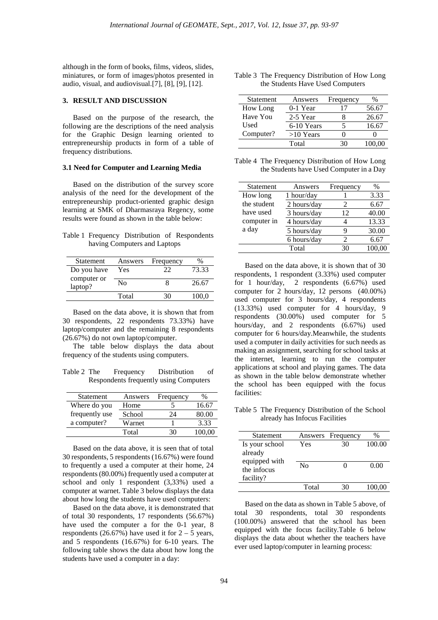although in the form of books, films, videos, slides, miniatures, or form of images/photos presented in audio, visual, and audiovisual.[7], [8], [9], [12].

### **3. RESULT AND DISCUSSION**

Based on the purpose of the research, the following are the descriptions of the need analysis for the Graphic Design learning oriented to entrepreneurship products in form of a table of frequency distributions.

## **3.1 Need for Computer and Learning Media**

Based on the distribution of the survey score analysis of the need for the development of the entrepreneurship product-oriented graphic design learning at SMK of Dharmasraya Regency, some results were found as shown in the table below:

|  |                              | Table 1 Frequency Distribution of Respondents |
|--|------------------------------|-----------------------------------------------|
|  | having Computers and Laptops |                                               |

| Answers | Frequency |       |
|---------|-----------|-------|
| Yes     | フフ        | 73.33 |
| Nο      |           | 26.67 |
| Total   |           | 100.0 |
|         |           |       |

Based on the data above, it is shown that from 30 respondents, 22 respondents 73.33%) have laptop/computer and the remaining 8 respondents (26.67%) do not own laptop/computer.

The table below displays the data about frequency of the students using computers.

Table 2 The Frequency Distribution of Respondents frequently using Computers

| Statement      | Answers | Frequency |        |
|----------------|---------|-----------|--------|
| Where do you   | Home    |           | 16.67  |
| frequently use | School  | 24.       | 80.00  |
| a computer?    | Warnet  |           | 3.33   |
|                | Total   |           | 100.00 |

Based on the data above, it is seen that of total 30 respondents, 5 respondents (16.67%) were found to frequently a used a computer at their home, 24 respondents (80.00%) frequently used a computer at school and only 1 respondent (3,33%) used a computer at warnet. Table 3 below displays the data about how long the students have used computers:

Based on the data above, it is demonstrated that of total 30 respondents, 17 respondents (56.67%) have used the computer a for the 0-1 year, 8 respondents (26.67%) have used it for  $2 - 5$  years, and 5 respondents (16.67%) for 6-10 years. The following table shows the data about how long the students have used a computer in a day:

Table 3 The Frequency Distribution of How Long the Students Have Used Computers

| Statement | Answers     | Frequency | %      |
|-----------|-------------|-----------|--------|
| How Long  | $0-1$ Year  | 17        | 56.67  |
| Have You  | 2-5 Year    |           | 26.67  |
| Used      | 6-10 Years  |           | 16.67  |
| Computer? | $>10$ Years |           |        |
|           | Total       | 30        | 100.00 |

Table 4 The Frequency Distribution of How Long the Students have Used Computer in a Day

| Statement   | Answers      | Frequency | $\%$   |
|-------------|--------------|-----------|--------|
| How long    | $1$ hour/day |           | 3.33   |
| the student | 2 hours/day  | 2         | 6.67   |
| have used   | 3 hours/day  | 12        | 40.00  |
| computer in | 4 hours/day  |           | 13.33  |
| a day       | 5 hours/day  |           | 30.00  |
|             | 6 hours/day  |           | 6.67   |
|             | Total        | 30        | 100,00 |

Based on the data above, it is shown that of 30 respondents, 1 respondent (3.33%) used computer for 1 hour/day, 2 respondents (6.67%) used computer for 2 hours/day, 12 persons (40.00%) used computer for 3 hours/day, 4 respondents (13.33%) used computer for 4 hours/day, 9 respondents (30.00%) used computer for 5 hours/day, and 2 respondents (6.67%) used computer for 6 hours/day.Meanwhile, the students used a computer in daily activities for such needs as making an assignment, searching for school tasks at the internet, learning to run the computer applications at school and playing games. The data as shown in the table below demonstrate whether the school has been equipped with the focus facilities:

Table 5 The Frequency Distribution of the School already has Infocus Facilities

| Statement                                 |       | Answers Frequency | $\%$   |
|-------------------------------------------|-------|-------------------|--------|
| Is your school<br>already                 | Yes   | 30                | 100.00 |
| equipped with<br>the infocus<br>facility? | No    |                   | 0.00   |
|                                           | Total |                   | 100.00 |

Based on the data as shown in Table 5 above, of total 30 respondents, total 30 respondents (100.00%) answered that the school has been equipped with the focus facility.Table 6 below displays the data about whether the teachers have ever used laptop/computer in learning process: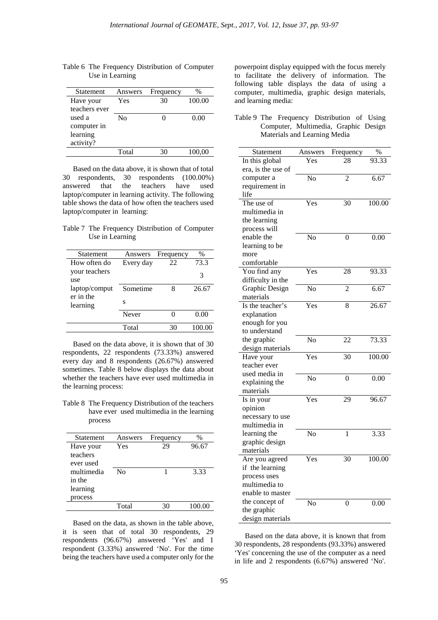| Statement     | Answers | Frequency | $\%$   |
|---------------|---------|-----------|--------|
| Have your     | Yes     | 30        | 100.00 |
| teachers ever |         |           |        |
| used a        | Nο      |           | 0.00   |
| computer in   |         |           |        |
| learning      |         |           |        |
| activity?     |         |           |        |
|               | Total   | 30        | 100,00 |
|               |         |           |        |

Table 6 The Frequency Distribution of Computer Use in Learning

Based on the data above, it is shown that of total 30 respondents, 30 respondents (100.00%) answered that the teachers have used laptop/computer in learning activity. The following table shows the data of how often the teachers used laptop/computer in learning:

Table 7 The Frequency Distribution of Computer Use in Learning

| Statement     | Answers   | Frequency | $\%$   |
|---------------|-----------|-----------|--------|
| How often do  | Every day | 22        | 73.3   |
| your teachers |           |           | 3      |
| use           |           |           |        |
| laptop/comput | Sometime  | 8         | 26.67  |
| er in the     | S         |           |        |
| learning      |           |           |        |
|               | Never     |           | 0.00   |
|               |           |           |        |
|               | Total     | 30        | 100.00 |

Based on the data above, it is shown that of 30 respondents, 22 respondents (73.33%) answered every day and 8 respondents (26.67%) answered sometimes. Table 8 below displays the data about whether the teachers have ever used multimedia in the learning process:

Table 8 The Frequency Distribution of the teachers have ever used multimedia in the learning process

| <b>Statement</b> | Answers | Frequency | $\%$   |
|------------------|---------|-----------|--------|
| Have your        | Yes     | 29        | 96.67  |
| teachers         |         |           |        |
| ever used        |         |           |        |
| multimedia       | No      |           | 3.33   |
| in the           |         |           |        |
| learning         |         |           |        |
| process          |         |           |        |
|                  | Total   | 30        | 100.00 |
|                  |         |           |        |

Based on the data, as shown in the table above, it is seen that of total 30 respondents, 29 respondents (96.67%) answered 'Yes' and 1 respondent (3.33%) answered 'No'. For the time being the teachers have used a computer only for the

powerpoint display equipped with the focus merely to facilitate the delivery of information. The following table displays the data of using a computer, multimedia, graphic design materials, and learning media:

| Table 9 The Frequency Distribution of Using |  |                              |  |                                      |
|---------------------------------------------|--|------------------------------|--|--------------------------------------|
|                                             |  |                              |  | Computer, Multimedia, Graphic Design |
|                                             |  | Materials and Learning Media |  |                                      |

| Statement          | Answers                   | Frequency      | %      |
|--------------------|---------------------------|----------------|--------|
| In this global     | Yes                       | 28             | 93.33  |
| era, is the use of |                           |                |        |
| computer a         | $\overline{\text{No}}$    | $\overline{c}$ | 6.67   |
| requirement in     |                           |                |        |
| life               |                           |                |        |
| The use of         | Yes                       | 30             | 100.00 |
| multimedia in      |                           |                |        |
| the learning       |                           |                |        |
| process will       |                           |                |        |
| enable the         | No                        | 0              | 0.00   |
| learning to be     |                           |                |        |
| more               |                           |                |        |
| comfortable        |                           |                |        |
| You find any       | Yes                       | 28             | 93.33  |
| difficulty in the  |                           |                |        |
| Graphic Design     | No                        | $\overline{2}$ | 6.67   |
| materials          |                           |                |        |
| Is the teacher's   | Yes                       | 8              | 26.67  |
| explanation        |                           |                |        |
| enough for you     |                           |                |        |
| to understand      |                           |                |        |
| the graphic        | $\overline{\text{No}}$    | 22             | 73.33  |
| design materials   |                           |                |        |
| Have your          | Yes                       | 30             | 100.00 |
| teacher ever       |                           |                |        |
| used media in      | No                        | 0              | 0.00   |
| explaining the     |                           |                |        |
| materials          |                           |                |        |
| Is in your         | $\overline{\mathrm{Yes}}$ | 29             | 96.67  |
| opinion            |                           |                |        |
| necessary to use   |                           |                |        |
| multimedia in      |                           |                |        |
| learning the       | No                        | $\mathbf{1}$   | 3.33   |
| graphic design     |                           |                |        |
| materials          |                           |                |        |
| Are you agreed     | Yes                       | 30             | 100.00 |
| if the learning    |                           |                |        |
| process uses       |                           |                |        |
| multimedia to      |                           |                |        |
| enable to master   |                           |                |        |
| the concept of     | No                        | 0              | 0.00   |
| the graphic        |                           |                |        |
| design materials   |                           |                |        |

Based on the data above, it is known that from 30 respondents, 28 respondents (93.33%) answered 'Yes' concerning the use of the computer as a need in life and 2 respondents (6.67%) answered 'No'.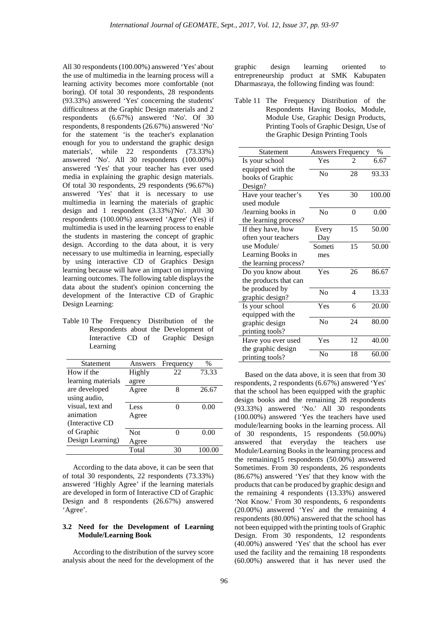All 30 respondents (100.00%) answered 'Yes' about the use of multimedia in the learning process will a learning activity becomes more comfortable (not boring). Of total 30 respondents, 28 respondents (93.33%) answered 'Yes' concerning the students' difficultness at the Graphic Design materials and 2 respondents (6.67%) answered 'No'. Of 30  $(6.67\%)$  answered 'No'. Of 30 respondents, 8 respondents (26.67%) answered 'No' for the statement 'is the teacher's explanation enough for you to understand the graphic design materials', while 22 respondents (73.33%) answered 'No'. All 30 respondents (100.00%) answered 'Yes' that your teacher has ever used media in explaining the graphic design materials. Of total 30 respondents, 29 respondents (96.67%) answered 'Yes' that it is necessary to use multimedia in learning the materials of graphic design and 1 respondent (3.33%)'No'. All 30 respondents (100.00%) answered 'Agree' (Yes) if multimedia is used in the learning process to enable the students in mastering the concept of graphic design. According to the data about, it is very necessary to use multimedia in learning, especially by using interactive CD of Graphics Design learning because will have an impact on improving learning outcomes. The following table displays the data about the student's opinion concerning the development of the Interactive CD of Graphic Design Learning:

| Table 10 The Frequency Distribution of the |  |                                      |  |
|--------------------------------------------|--|--------------------------------------|--|
|                                            |  | Respondents about the Development of |  |
|                                            |  | Interactive CD of Graphic Design     |  |
| Learning                                   |  |                                      |  |

| Statement          | Answers | Frequency | $\%$   |
|--------------------|---------|-----------|--------|
| How if the         | Highly  | 22        | 73.33  |
| learning materials | agree   |           |        |
| are developed      | Agree   | 8         | 26.67  |
| using audio,       |         |           |        |
| visual, text and   | Less    | 0         | 0.00   |
| animation          | Agree   |           |        |
| (Interactive CD)   |         |           |        |
| of Graphic         | Not     | 0         | 0.00   |
| Design Learning)   | Agree   |           |        |
|                    | Total   | 30        | 100.00 |
|                    |         |           |        |

According to the data above, it can be seen that of total 30 respondents, 22 respondents (73.33%) answered 'Highly Agree' if the learning materials are developed in form of Interactive CD of Graphic Design and 8 respondents (26.67%) answered 'Agree'.

## **3.2 Need for the Development of Learning Module/Learning Book**

According to the distribution of the survey score analysis about the need for the development of the graphic design learning oriented to entrepreneurship product at SMK Kabupaten Dharmasraya, the following finding was found:

Table 11 The Frequency Distribution of the Respondents Having Books, Module, Module Use, Graphic Design Products, Printing Tools of Graphic Design, Use of the Graphic Design Printing Tools

| <b>Statement</b>                         | <b>Answers Frequency</b><br>$\%$ |          |        |
|------------------------------------------|----------------------------------|----------|--------|
| Is your school                           | Yes                              | 2        | 6.67   |
| equipped with the<br>books of Graphic    | N <sub>0</sub>                   | 28       | 93.33  |
| Design?                                  |                                  |          |        |
| Have your teacher's<br>used module       | Yes                              | 30       | 100.00 |
| /learning books in                       | N <sub>0</sub>                   | $\Omega$ | 0.00   |
| the learning process?                    |                                  |          |        |
| If they have, how                        | Every                            | 15       | 50.00  |
| often your teachers                      | Day                              |          |        |
| use Module/                              | Someti                           | 15       | 50.00  |
| Learning Books in                        | mes                              |          |        |
| the learning process?                    |                                  |          |        |
| Do you know about                        | Yes                              | 26       | 86.67  |
| the products that can                    |                                  |          |        |
| be produced by<br>graphic design?        | No                               | 4        | 13.33  |
| Is your school                           | Yes                              | 6        | 20.00  |
| equipped with the                        |                                  |          |        |
| graphic design                           | No                               | 24       | 80.00  |
| printing tools?                          |                                  |          |        |
| Have you ever used<br>the graphic design | Yes                              | 12       | 40.00  |
| printing tools?                          | $\rm No$                         | 18       | 60.00  |

Based on the data above, it is seen that from 30 respondents, 2 respondents (6.67%) answered 'Yes' that the school has been equipped with the graphic design books and the remaining 28 respondents (93.33%) answered 'No.' All 30 respondents (100.00%) answered 'Yes the teachers have used module/learning books in the learning process. All of 30 respondents, 15 respondents (50.00%) answered that everyday the teachers use Module/Learning Books in the learning process and the remaining15 respondents (50.00%) answered Sometimes. From 30 respondents, 26 respondents (86.67%) answered 'Yes' that they know with the products that can be produced by graphic design and the remaining 4 respondents (13.33%) answered 'Not Know.' From 30 respondents, 6 respondents (20.00%) answered 'Yes' and the remaining 4 respondents (80.00%) answered that the school has not been equipped with the printing tools of Graphic Design. From 30 respondents, 12 respondents (40.00%) answered 'Yes' that the school has ever used the facility and the remaining 18 respondents (60.00%) answered that it has never used the